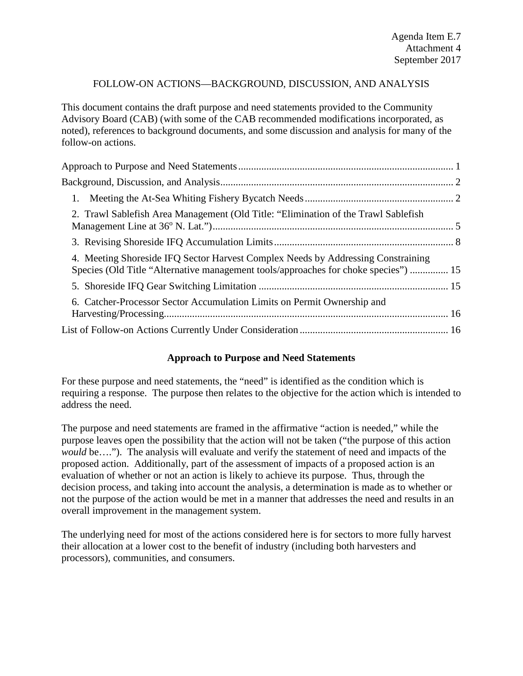## FOLLOW-ON ACTIONS—BACKGROUND, DISCUSSION, AND ANALYSIS

This document contains the draft purpose and need statements provided to the Community Advisory Board (CAB) (with some of the CAB recommended modifications incorporated, as noted), references to background documents, and some discussion and analysis for many of the follow-on actions.

| 2. Trawl Sablefish Area Management (Old Title: "Elimination of the Trawl Sablefish                                                                                      |  |
|-------------------------------------------------------------------------------------------------------------------------------------------------------------------------|--|
|                                                                                                                                                                         |  |
| 4. Meeting Shoreside IFQ Sector Harvest Complex Needs by Addressing Constraining<br>Species (Old Title "Alternative management tools/approaches for choke species")  15 |  |
|                                                                                                                                                                         |  |
| 6. Catcher-Processor Sector Accumulation Limits on Permit Ownership and                                                                                                 |  |
|                                                                                                                                                                         |  |

#### **Approach to Purpose and Need Statements**

<span id="page-0-0"></span>For these purpose and need statements, the "need" is identified as the condition which is requiring a response. The purpose then relates to the objective for the action which is intended to address the need.

The purpose and need statements are framed in the affirmative "action is needed," while the purpose leaves open the possibility that the action will not be taken ("the purpose of this action *would* be…."). The analysis will evaluate and verify the statement of need and impacts of the proposed action. Additionally, part of the assessment of impacts of a proposed action is an evaluation of whether or not an action is likely to achieve its purpose. Thus, through the decision process, and taking into account the analysis, a determination is made as to whether or not the purpose of the action would be met in a manner that addresses the need and results in an overall improvement in the management system.

The underlying need for most of the actions considered here is for sectors to more fully harvest their allocation at a lower cost to the benefit of industry (including both harvesters and processors), communities, and consumers.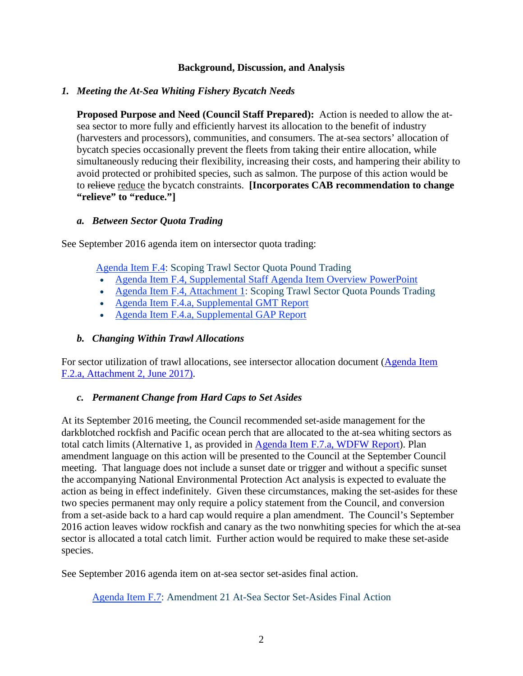#### **Background, Discussion, and Analysis**

#### <span id="page-1-1"></span><span id="page-1-0"></span>*1. Meeting the At-Sea Whiting Fishery Bycatch Needs*

**Proposed Purpose and Need (Council Staff Prepared):** Action is needed to allow the atsea sector to more fully and efficiently harvest its allocation to the benefit of industry (harvesters and processors), communities, and consumers. The at-sea sectors' allocation of bycatch species occasionally prevent the fleets from taking their entire allocation, while simultaneously reducing their flexibility, increasing their costs, and hampering their ability to avoid protected or prohibited species, such as salmon. The purpose of this action would be to relieve reduce the bycatch constraints. **[Incorporates CAB recommendation to change "relieve" to "reduce."]**

#### *a. Between Sector Quota Trading*

See September 2016 agenda item on intersector quota trading:

[Agenda Item F.4:](http://www.pcouncil.org/wp-content/uploads/2016/08/F4_SitSum_QP_Trading_SEPT2016BB.pdf) Scoping Trawl Sector Quota Pound Trading

- Agenda [Item F.4, Supplemental Staff Agenda Item Overview PowerPoint](http://www.pcouncil.org/wp-content/uploads/2016/09/F4_Sup_Staff_Overview_PPT_QP_Transfer_SEPT2016BB.pdf)
- [Agenda Item F.4, Attachment 1:](http://www.pcouncil.org/wp-content/uploads/2016/08/F4_Att1_QP_Trading_SEPT2016BB.pdf) Scoping Trawl Sector Quota Pounds Trading
- [Agenda Item F.4.a, Supplemental GMT Report](http://www.pcouncil.org/wp-content/uploads/2016/09/F4a_Sup_GMT_Rpt_SEPT2016BB.pdf)
- [Agenda Item F.4.a, Supplemental GAP Report](http://www.pcouncil.org/wp-content/uploads/2016/09/F4a_Sup_GAP_Rpt_SEPT2016BB.pdf)

## *b. Changing Within Trawl Allocations*

For sector utilization of trawl allocations, see intersector allocation document [\(Agenda Item](http://www.pcouncil.org/wp-content/uploads/2017/05/F2_Att2_Am21Eval_JUN2017BB.pdf)  [F.2.a, Attachment 2, June 2017\)](http://www.pcouncil.org/wp-content/uploads/2017/05/F2_Att2_Am21Eval_JUN2017BB.pdf).

## *c. Permanent Change from Hard Caps to Set Asides*

At its September 2016 meeting, the Council recommended set-aside management for the darkblotched rockfish and Pacific ocean perch that are allocated to the at-sea whiting sectors as total catch limits (Alternative 1, as provided in [Agenda Item F.7.a, WDFW Report\)](http://www.pcouncil.org/wp-content/uploads/2016/08/F7a_WDFW_Report_SEPT2016BB.pdf). Plan amendment language on this action will be presented to the Council at the September Council meeting. That language does not include a sunset date or trigger and without a specific sunset the accompanying National Environmental Protection Act analysis is expected to evaluate the action as being in effect indefinitely. Given these circumstances, making the set-asides for these two species permanent may only require a policy statement from the Council, and conversion from a set-aside back to a hard cap would require a plan amendment. The Council's September 2016 action leaves widow rockfish and canary as the two nonwhiting species for which the at-sea sector is allocated a total catch limit. Further action would be required to make these set-aside species.

See September 2016 agenda item on at-sea sector set-asides final action.

[Agenda Item F.7:](http://www.pcouncil.org/wp-content/uploads/2016/08/F7__SitSum_AtSeaSetAsides_SEPT2016BB.pdf) Amendment 21 At-Sea Sector Set-Asides Final Action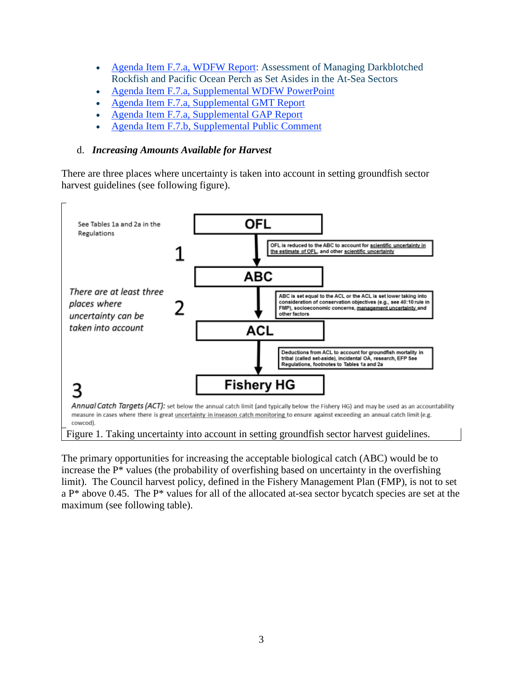- [Agenda Item F.7.a, WDFW Report:](http://www.pcouncil.org/wp-content/uploads/2016/08/F7a_WDFW_Report_SEPT2016BB.pdf) Assessment of Managing Darkblotched Rockfish and Pacific Ocean Perch as Set Asides in the At-Sea Sectors
- [Agenda Item F.7.a, Supplemental WDFW PowerPoint](http://www.pcouncil.org/wp-content/uploads/2016/09/F7a_Sup_WDFW_PPT_SEPT2016BB.pdf)
- [Agenda Item F.7.a, Supplemental GMT Report](http://www.pcouncil.org/wp-content/uploads/2016/09/F7a_Sup_GMT_Rpt_SEPT2016BB.pdf)
- [Agenda Item F.7.a, Supplemental GAP Report](http://www.pcouncil.org/wp-content/uploads/2016/09/F7a_Sup_GAP_Rpt_SEPT2016BB.pdf)
- [Agenda Item F.7.b, Supplemental Public Comment](http://www.pcouncil.org/wp-content/uploads/2016/09/F7b_Sup_PubCom_SEPT2016BB.pdf)

## d. *Increasing Amounts Available for Harvest*

There are three places where uncertainty is taken into account in setting groundfish sector harvest guidelines (see following figure).



The primary opportunities for increasing the acceptable biological catch (ABC) would be to increase the P\* values (the probability of overfishing based on uncertainty in the overfishing limit). The Council harvest policy, defined in the Fishery Management Plan (FMP), is not to set a P\* above 0.45. The P\* values for all of the allocated at-sea sector bycatch species are set at the maximum (see following table).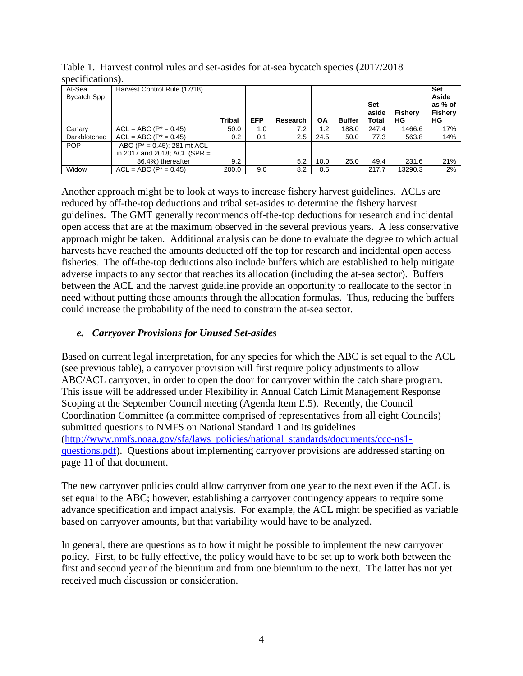|                       | 500                                                                                    |               |            |          |           |               |                               |               |                                                        |
|-----------------------|----------------------------------------------------------------------------------------|---------------|------------|----------|-----------|---------------|-------------------------------|---------------|--------------------------------------------------------|
| At-Sea<br>Bycatch Spp | Harvest Control Rule (17/18)                                                           | <b>Tribal</b> | <b>EFP</b> | Research | <b>OA</b> | <b>Buffer</b> | Set-<br>aside<br><b>Total</b> | Fishery<br>ΗG | <b>Set</b><br>Aside<br>as % of<br><b>Fishery</b><br>ΗG |
| Canary                | $ACL = ABC (P^* = 0.45)$                                                               | 50.0          | 1.0        | 7.2      | 1.2       | 188.0         | 247.4                         | 1466.6        | 17%                                                    |
| Darkblotched          | $ACL = ABC (P^* = 0.45)$                                                               | 0.2           | 0.1        | 2.5      | 24.5      | 50.0          | 77.3                          | 563.8         | 14%                                                    |
| <b>POP</b>            | ABC $(P^* = 0.45)$ ; 281 mt ACL<br>in 2017 and 2018; ACL (SPR $=$<br>86.4%) thereafter | 9.2           |            | 5.2      | 10.0      | 25.0          | 49.4                          | 231.6         | 21%                                                    |
| Widow                 | $ACL = ABC (P^* = 0.45)$                                                               | 200.0         | 9.0        | 8.2      | 0.5       |               | 217.7                         | 13290.3       | 2%                                                     |

Table 1. Harvest control rules and set-asides for at-sea bycatch species (2017/2018 specifications).

Another approach might be to look at ways to increase fishery harvest guidelines. ACLs are reduced by off-the-top deductions and tribal set-asides to determine the fishery harvest guidelines. The GMT generally recommends off-the-top deductions for research and incidental open access that are at the maximum observed in the several previous years. A less conservative approach might be taken. Additional analysis can be done to evaluate the degree to which actual harvests have reached the amounts deducted off the top for research and incidental open access fisheries. The off-the-top deductions also include buffers which are established to help mitigate adverse impacts to any sector that reaches its allocation (including the at-sea sector). Buffers between the ACL and the harvest guideline provide an opportunity to reallocate to the sector in need without putting those amounts through the allocation formulas. Thus, reducing the buffers could increase the probability of the need to constrain the at-sea sector.

# *e. Carryover Provisions for Unused Set-asides*

Based on current legal interpretation, for any species for which the ABC is set equal to the ACL (see previous table), a carryover provision will first require policy adjustments to allow ABC/ACL carryover, in order to open the door for carryover within the catch share program. This issue will be addressed under Flexibility in Annual Catch Limit Management Response Scoping at the September Council meeting (Agenda Item E.5). Recently, the Council Coordination Committee (a committee comprised of representatives from all eight Councils) submitted questions to NMFS on National Standard 1 and its guidelines [\(http://www.nmfs.noaa.gov/sfa/laws\\_policies/national\\_standards/documents/ccc-ns1](http://www.nmfs.noaa.gov/sfa/laws_policies/national_standards/documents/ccc-ns1-questions.pdf) [questions.pdf\)](http://www.nmfs.noaa.gov/sfa/laws_policies/national_standards/documents/ccc-ns1-questions.pdf). Questions about implementing carryover provisions are addressed starting on page 11 of that document.

The new carryover policies could allow carryover from one year to the next even if the ACL is set equal to the ABC; however, establishing a carryover contingency appears to require some advance specification and impact analysis. For example, the ACL might be specified as variable based on carryover amounts, but that variability would have to be analyzed.

In general, there are questions as to how it might be possible to implement the new carryover policy. First, to be fully effective, the policy would have to be set up to work both between the first and second year of the biennium and from one biennium to the next. The latter has not yet received much discussion or consideration.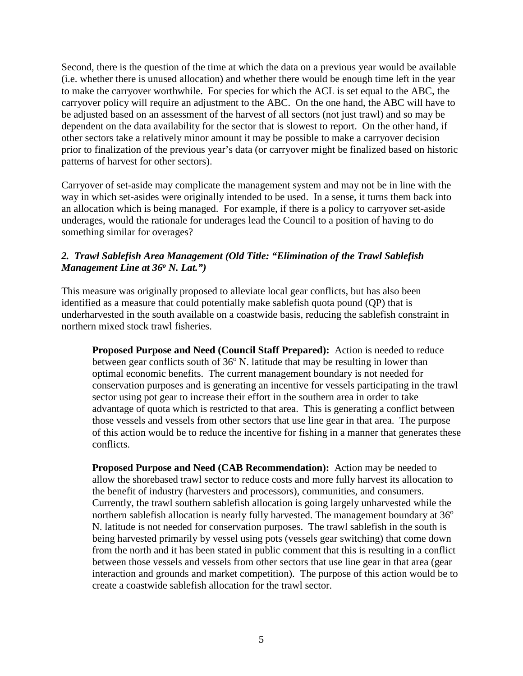Second, there is the question of the time at which the data on a previous year would be available (i.e. whether there is unused allocation) and whether there would be enough time left in the year to make the carryover worthwhile. For species for which the ACL is set equal to the ABC, the carryover policy will require an adjustment to the ABC. On the one hand, the ABC will have to be adjusted based on an assessment of the harvest of all sectors (not just trawl) and so may be dependent on the data availability for the sector that is slowest to report. On the other hand, if other sectors take a relatively minor amount it may be possible to make a carryover decision prior to finalization of the previous year's data (or carryover might be finalized based on historic patterns of harvest for other sectors).

Carryover of set-aside may complicate the management system and may not be in line with the way in which set-asides were originally intended to be used. In a sense, it turns them back into an allocation which is being managed. For example, if there is a policy to carryover set-aside underages, would the rationale for underages lead the Council to a position of having to do something similar for overages?

## <span id="page-4-0"></span>*2. Trawl Sablefish Area Management (Old Title: "Elimination of the Trawl Sablefish Management Line at 36<sup>°</sup> N. Lat.*")

This measure was originally proposed to alleviate local gear conflicts, but has also been identified as a measure that could potentially make sablefish quota pound (QP) that is underharvested in the south available on a coastwide basis, reducing the sablefish constraint in northern mixed stock trawl fisheries.

**Proposed Purpose and Need (Council Staff Prepared):** Action is needed to reduce between gear conflicts south of  $36^{\circ}$  N. latitude that may be resulting in lower than optimal economic benefits. The current management boundary is not needed for conservation purposes and is generating an incentive for vessels participating in the trawl sector using pot gear to increase their effort in the southern area in order to take advantage of quota which is restricted to that area. This is generating a conflict between those vessels and vessels from other sectors that use line gear in that area. The purpose of this action would be to reduce the incentive for fishing in a manner that generates these conflicts.

**Proposed Purpose and Need (CAB Recommendation):** Action may be needed to allow the shorebased trawl sector to reduce costs and more fully harvest its allocation to the benefit of industry (harvesters and processors), communities, and consumers. Currently, the trawl southern sablefish allocation is going largely unharvested while the northern sablefish allocation is nearly fully harvested. The management boundary at  $36^{\circ}$ N. latitude is not needed for conservation purposes. The trawl sablefish in the south is being harvested primarily by vessel using pots (vessels gear switching) that come down from the north and it has been stated in public comment that this is resulting in a conflict between those vessels and vessels from other sectors that use line gear in that area (gear interaction and grounds and market competition). The purpose of this action would be to create a coastwide sablefish allocation for the trawl sector.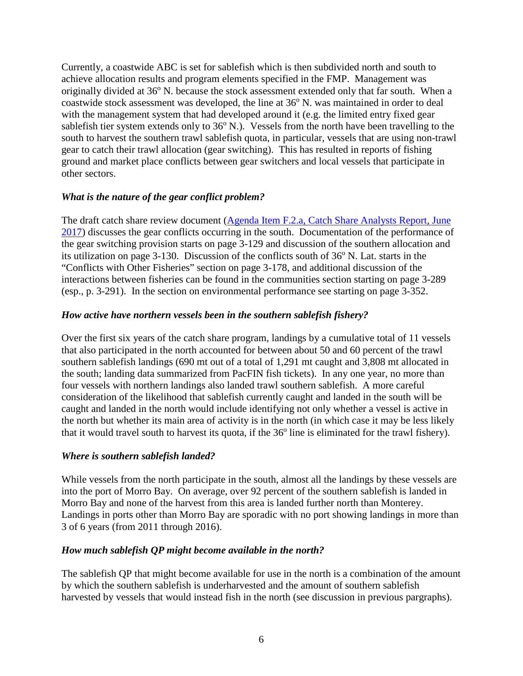Currently, a coastwide ABC is set for sablefish which is then subdivided north and south to achieve allocation results and program elements specified in the FMP. Management was originally divided at 36<sup>o</sup> N. because the stock assessment extended only that far south. When a coastwide stock assessment was developed, the line at  $36^{\circ}$  N. was maintained in order to deal with the management system that had developed around it (e.g. the limited entry fixed gear sablefish tier system extends only to  $36^{\circ}$  N.). Vessels from the north have been travelling to the south to harvest the southern trawl sablefish quota, in particular, vessels that are using non-trawl gear to catch their trawl allocation (gear switching). This has resulted in reports of fishing ground and market place conflicts between gear switchers and local vessels that participate in other sectors.

#### *What is the nature of the gear conflict problem?*

The draft catch share review document (Agenda Item F.2.a, Catch Share Analysts Report, June [2017\)](http://www.pcouncil.org/wp-content/uploads/2017/05/F2a_CatchShareAnalystsReport_FullReport_ElectricOnly_Jun2017BB.pdf) discusses the gear conflicts occurring in the south. Documentation of the performance of the gear switching provision starts on page 3-129 and discussion of the southern allocation and its utilization on page  $3-130$ . Discussion of the conflicts south of  $36^{\circ}$  N. Lat. starts in the "Conflicts with Other Fisheries" section on page 3-178, and additional discussion of the interactions between fisheries can be found in the communities section starting on page 3-289 (esp., p. 3-291). In the section on environmental performance see starting on page 3-352.

#### *How active have northern vessels been in the southern sablefish fishery?*

Over the first six years of the catch share program, landings by a cumulative total of 11 vessels that also participated in the north accounted for between about 50 and 60 percent of the trawl southern sablefish landings (690 mt out of a total of 1,291 mt caught and 3,808 mt allocated in the south; landing data summarized from PacFIN fish tickets). In any one year, no more than four vessels with northern landings also landed trawl southern sablefish. A more careful consideration of the likelihood that sablefish currently caught and landed in the south will be caught and landed in the north would include identifying not only whether a vessel is active in the north but whether its main area of activity is in the north (in which case it may be less likely that it would travel south to harvest its quota, if the  $36<sup>o</sup>$  line is eliminated for the trawl fishery).

#### *Where is southern sablefish landed?*

While vessels from the north participate in the south, almost all the landings by these vessels are into the port of Morro Bay. On average, over 92 percent of the southern sablefish is landed in Morro Bay and none of the harvest from this area is landed further north than Monterey. Landings in ports other than Morro Bay are sporadic with no port showing landings in more than 3 of 6 years (from 2011 through 2016).

## *How much sablefish QP might become available in the north?*

The sablefish QP that might become available for use in the north is a combination of the amount by which the southern sablefish is underharvested and the amount of southern sablefish harvested by vessels that would instead fish in the north (see discussion in previous pargraphs).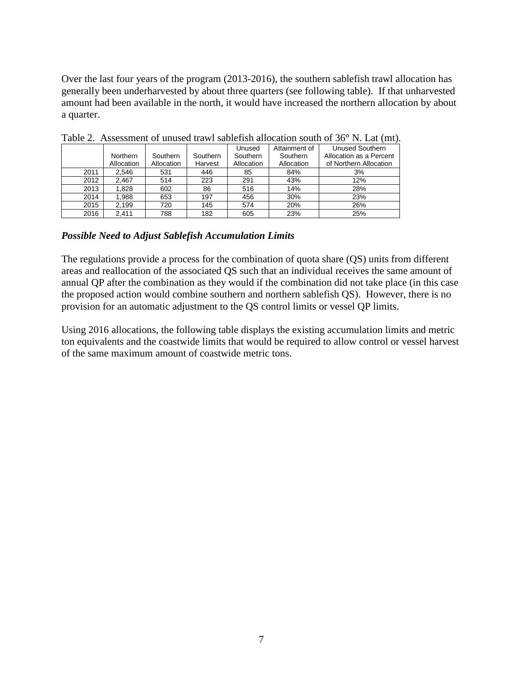Over the last four years of the program (2013-2016), the southern sablefish trawl allocation has generally been underharvested by about three quarters (see following table). If that unharvested amount had been available in the north, it would have increased the northern allocation by about a quarter.

|      |            |            |          | Unused     | Attainment of | <b>Unused Southern</b>  |
|------|------------|------------|----------|------------|---------------|-------------------------|
|      | Northern   | Southern   | Southern | Southern   | Southern      | Allocation as a Percent |
|      | Allocation | Allocation | Harvest  | Allocation | Allocation    | of Northern Allocation  |
| 2011 | 2.546      | 531        | 446      | 85         | 84%           | 3%                      |
| 2012 | 2.467      | 514        | 223      | 291        | 43%           | 12%                     |
| 2013 | 1.828      | 602        | 86       | 516        | 14%           | 28%                     |
| 2014 | 1,988      | 653        | 197      | 456        | 30%           | 23%                     |
| 2015 | 2.199      | 720        | 145      | 574        | 20%           | 26%                     |
| 2016 | 2.411      | 788        | 182      | 605        | 23%           | 25%                     |

Table 2. Assessment of unused trawl sablefish allocation south of 36° N. Lat (mt).

#### *Possible Need to Adjust Sablefish Accumulation Limits*

The regulations provide a process for the combination of quota share (QS) units from different areas and reallocation of the associated QS such that an individual receives the same amount of annual QP after the combination as they would if the combination did not take place (in this case the proposed action would combine southern and northern sablefish QS). However, there is no provision for an automatic adjustment to the QS control limits or vessel QP limits.

Using 2016 allocations, the following table displays the existing accumulation limits and metric ton equivalents and the coastwide limits that would be required to allow control or vessel harvest of the same maximum amount of coastwide metric tons.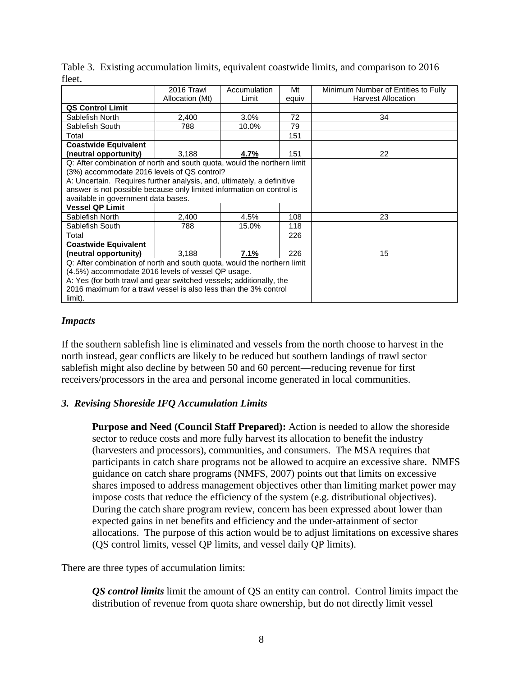|                                                                         | 2016 Trawl<br>Allocation (Mt) | Accumulation<br>Limit | Mt<br>equiv | Minimum Number of Entities to Fully<br><b>Harvest Allocation</b> |
|-------------------------------------------------------------------------|-------------------------------|-----------------------|-------------|------------------------------------------------------------------|
| <b>QS Control Limit</b>                                                 |                               |                       |             |                                                                  |
| Sablefish North                                                         | 2,400                         | 3.0%                  | 72          | 34                                                               |
| Sablefish South                                                         | 788                           | 10.0%                 | 79          |                                                                  |
| Total                                                                   |                               |                       | 151         |                                                                  |
| <b>Coastwide Equivalent</b>                                             |                               |                       |             |                                                                  |
| (neutral opportunity)                                                   | 3,188                         | 4.7%                  | 151         | 22                                                               |
| Q: After combination of north and south quota, would the northern limit |                               |                       |             |                                                                  |
| (3%) accommodate 2016 levels of QS control?                             |                               |                       |             |                                                                  |
| A: Uncertain. Requires further analysis, and, ultimately, a definitive  |                               |                       |             |                                                                  |
| answer is not possible because only limited information on control is   |                               |                       |             |                                                                  |
| available in government data bases.                                     |                               |                       |             |                                                                  |
| <b>Vessel QP Limit</b>                                                  |                               |                       |             |                                                                  |
| Sablefish North                                                         | 2,400                         | 4.5%                  | 108         | 23                                                               |
| Sablefish South                                                         | 788                           | 15.0%                 | 118         |                                                                  |
| Total                                                                   |                               |                       | 226         |                                                                  |
| <b>Coastwide Equivalent</b>                                             |                               |                       |             |                                                                  |
| (neutral opportunity)                                                   | 3,188                         | 7.1%                  | 226         | 15                                                               |
| Q: After combination of north and south quota, would the northern limit |                               |                       |             |                                                                  |
| (4.5%) accommodate 2016 levels of vessel QP usage.                      |                               |                       |             |                                                                  |
| A: Yes (for both trawl and gear switched vessels; additionally, the     |                               |                       |             |                                                                  |
| 2016 maximum for a trawl vessel is also less than the 3% control        |                               |                       |             |                                                                  |
| limit).                                                                 |                               |                       |             |                                                                  |

Table 3. Existing accumulation limits, equivalent coastwide limits, and comparison to 2016 fleet.

#### *Impacts*

If the southern sablefish line is eliminated and vessels from the north choose to harvest in the north instead, gear conflicts are likely to be reduced but southern landings of trawl sector sablefish might also decline by between 50 and 60 percent—reducing revenue for first receivers/processors in the area and personal income generated in local communities.

#### <span id="page-7-0"></span>*3. Revising Shoreside IFQ Accumulation Limits*

**Purpose and Need (Council Staff Prepared):** Action is needed to allow the shoreside sector to reduce costs and more fully harvest its allocation to benefit the industry (harvesters and processors), communities, and consumers. The MSA requires that participants in catch share programs not be allowed to acquire an excessive share. NMFS guidance on catch share programs (NMFS, 2007) points out that limits on excessive shares imposed to address management objectives other than limiting market power may impose costs that reduce the efficiency of the system (e.g. distributional objectives). During the catch share program review, concern has been expressed about lower than expected gains in net benefits and efficiency and the under-attainment of sector allocations. The purpose of this action would be to adjust limitations on excessive shares (QS control limits, vessel QP limits, and vessel daily QP limits).

There are three types of accumulation limits:

*QS control limits* limit the amount of QS an entity can control. Control limits impact the distribution of revenue from quota share ownership, but do not directly limit vessel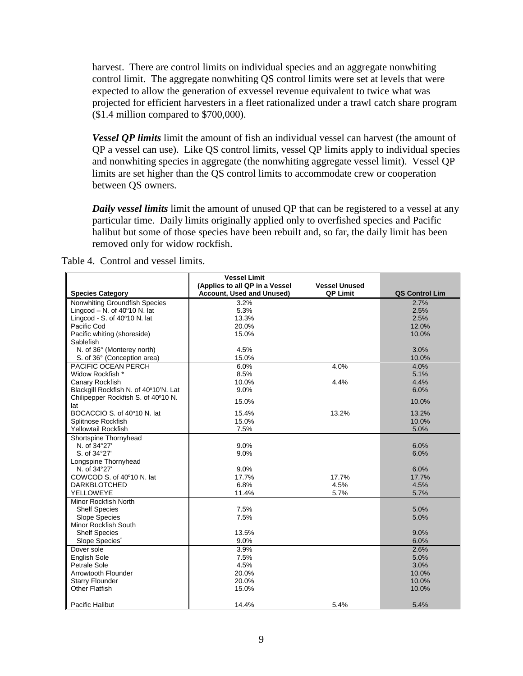harvest. There are control limits on individual species and an aggregate nonwhiting control limit. The aggregate nonwhiting QS control limits were set at levels that were expected to allow the generation of exvessel revenue equivalent to twice what was projected for efficient harvesters in a fleet rationalized under a trawl catch share program (\$1.4 million compared to \$700,000).

*Vessel QP limits* limit the amount of fish an individual vessel can harvest (the amount of QP a vessel can use). Like QS control limits, vessel QP limits apply to individual species and nonwhiting species in aggregate (the nonwhiting aggregate vessel limit). Vessel QP limits are set higher than the QS control limits to accommodate crew or cooperation between QS owners.

*Daily vessel limits* limit the amount of unused QP that can be registered to a vessel at any particular time. Daily limits originally applied only to overfished species and Pacific halibut but some of those species have been rebuilt and, so far, the daily limit has been removed only for widow rockfish.

Table 4. Control and vessel limits.

|                                       | <b>Vessel Limit</b>                                         |                                         |                |
|---------------------------------------|-------------------------------------------------------------|-----------------------------------------|----------------|
| <b>Species Category</b>               | (Applies to all QP in a Vessel<br>Account, Used and Unused) | <b>Vessel Unused</b><br><b>QP Limit</b> | QS Control Lim |
| Nonwhiting Groundfish Species         | 3.2%                                                        |                                         | 2.7%           |
| Lingcod - N. of $40^{\circ}10$ N. lat | 5.3%                                                        |                                         | 2.5%           |
| Lingcod - S. of 40°10 N. lat          | 13.3%                                                       |                                         | 2.5%           |
| Pacific Cod                           | 20.0%                                                       |                                         | 12.0%          |
| Pacific whiting (shoreside)           | 15.0%                                                       |                                         | 10.0%          |
| Sablefish                             |                                                             |                                         |                |
| N. of 36° (Monterey north)            | 4.5%                                                        |                                         | 3.0%           |
| S. of 36° (Conception area)           | 15.0%                                                       |                                         | 10.0%          |
| PACIFIC OCEAN PERCH                   | 6.0%                                                        | 4.0%                                    | 4.0%           |
| Widow Rockfish *                      | 8.5%                                                        |                                         | 5.1%           |
| Canary Rockfish                       | 10.0%                                                       | 4.4%                                    | 4.4%           |
| Blackgill Rockfish N. of 40°10'N. Lat | 9.0%                                                        |                                         | 6.0%           |
| Chilipepper Rockfish S. of 40°10 N.   |                                                             |                                         |                |
| lat                                   | 15.0%                                                       |                                         | 10.0%          |
| BOCACCIO S. of 40°10 N. lat           | 15.4%                                                       | 13.2%                                   | 13.2%          |
| Splitnose Rockfish                    | 15.0%                                                       |                                         | 10.0%          |
| Yellowtail Rockfish                   | 7.5%                                                        |                                         | 5.0%           |
| Shortspine Thornyhead                 |                                                             |                                         |                |
| N. of 34°27'                          | 9.0%                                                        |                                         | 6.0%           |
| S. of 34°27'                          | 9.0%                                                        |                                         | 6.0%           |
| Longspine Thornyhead                  |                                                             |                                         |                |
| N. of 34°27'                          | 9.0%                                                        |                                         | 6.0%           |
| COWCOD S. of 40°10 N. lat             | 17.7%                                                       | 17.7%                                   | 17.7%          |
| <b>DARKBLOTCHED</b>                   | 6.8%                                                        | 4.5%                                    | 4.5%           |
| YELLOWEYE                             | 11.4%                                                       | 5.7%                                    | 5.7%           |
| <b>Minor Rockfish North</b>           |                                                             |                                         |                |
| <b>Shelf Species</b>                  | 7.5%                                                        |                                         | 5.0%           |
| Slope Species                         | 7.5%                                                        |                                         | 5.0%           |
| <b>Minor Rockfish South</b>           |                                                             |                                         |                |
| <b>Shelf Species</b>                  | 13.5%                                                       |                                         | 9.0%           |
| Slope Species <sup>*</sup>            | 9.0%                                                        |                                         | 6.0%           |
| Dover sole                            | 3.9%                                                        |                                         | 2.6%           |
| <b>English Sole</b>                   | 7.5%                                                        |                                         | 5.0%           |
| Petrale Sole                          | 4.5%                                                        |                                         | 3.0%           |
| Arrowtooth Flounder                   | 20.0%                                                       |                                         | 10.0%          |
| <b>Starry Flounder</b>                | 20.0%                                                       |                                         | 10.0%          |
| <b>Other Flatfish</b>                 | 15.0%                                                       |                                         | 10.0%          |
|                                       |                                                             |                                         |                |
| Pacific Halibut                       | 14.4%                                                       | 5.4%                                    | 5.4%           |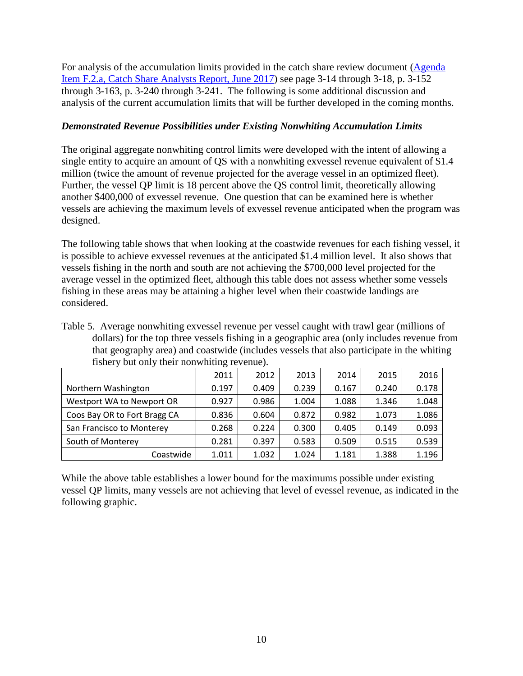For analysis of the accumulation limits provided in the catch share review document [\(Agenda](http://www.pcouncil.org/wp-content/uploads/2017/05/F2a_CatchShareAnalystsReport_FullReport_ElectricOnly_Jun2017BB.pdf)  [Item F.2.a, Catch Share Analysts Report, June 2017\)](http://www.pcouncil.org/wp-content/uploads/2017/05/F2a_CatchShareAnalystsReport_FullReport_ElectricOnly_Jun2017BB.pdf) see page 3-14 through 3-18, p. 3-152 through 3-163, p. 3-240 through 3-241. The following is some additional discussion and analysis of the current accumulation limits that will be further developed in the coming months.

## *Demonstrated Revenue Possibilities under Existing Nonwhiting Accumulation Limits*

The original aggregate nonwhiting control limits were developed with the intent of allowing a single entity to acquire an amount of QS with a nonwhiting exvessel revenue equivalent of \$1.4 million (twice the amount of revenue projected for the average vessel in an optimized fleet). Further, the vessel QP limit is 18 percent above the QS control limit, theoretically allowing another \$400,000 of exvessel revenue. One question that can be examined here is whether vessels are achieving the maximum levels of exvessel revenue anticipated when the program was designed.

The following table shows that when looking at the coastwide revenues for each fishing vessel, it is possible to achieve exvessel revenues at the anticipated \$1.4 million level. It also shows that vessels fishing in the north and south are not achieving the \$700,000 level projected for the average vessel in the optimized fleet, although this table does not assess whether some vessels fishing in these areas may be attaining a higher level when their coastwide landings are considered.

Table 5. Average nonwhiting exvessel revenue per vessel caught with trawl gear (millions of dollars) for the top three vessels fishing in a geographic area (only includes revenue from that geography area) and coastwide (includes vessels that also participate in the whiting fishery but only their nonwhiting revenue).

|                              | 2011  | 2012  | 2013  | 2014  | 2015  | 2016  |
|------------------------------|-------|-------|-------|-------|-------|-------|
| Northern Washington          | 0.197 | 0.409 | 0.239 | 0.167 | 0.240 | 0.178 |
| Westport WA to Newport OR    | 0.927 | 0.986 | 1.004 | 1.088 | 1.346 | 1.048 |
| Coos Bay OR to Fort Bragg CA | 0.836 | 0.604 | 0.872 | 0.982 | 1.073 | 1.086 |
| San Francisco to Monterey    | 0.268 | 0.224 | 0.300 | 0.405 | 0.149 | 0.093 |
| South of Monterey            | 0.281 | 0.397 | 0.583 | 0.509 | 0.515 | 0.539 |
| Coastwide                    | 1.011 | 1.032 | 1.024 | 1.181 | 1.388 | 1.196 |

While the above table establishes a lower bound for the maximums possible under existing vessel QP limits, many vessels are not achieving that level of evessel revenue, as indicated in the following graphic.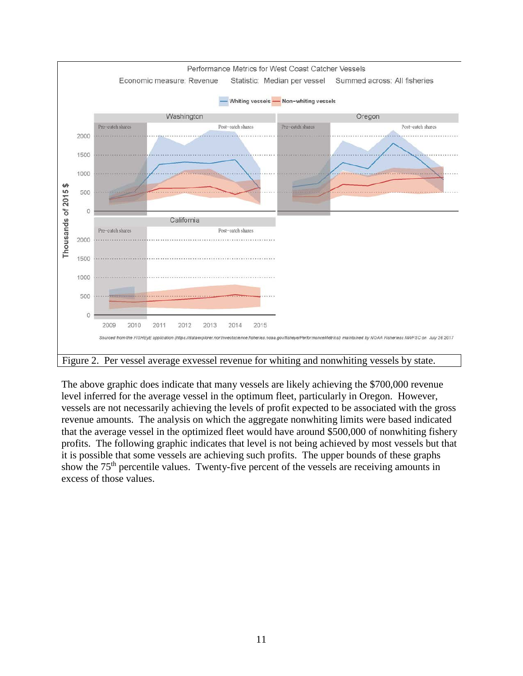

Figure 2. Per vessel average exvessel revenue for whiting and nonwhiting vessels by state.

The above graphic does indicate that many vessels are likely achieving the \$700,000 revenue level inferred for the average vessel in the optimum fleet, particularly in Oregon. However, vessels are not necessarily achieving the levels of profit expected to be associated with the gross revenue amounts. The analysis on which the aggregate nonwhiting limits were based indicated that the average vessel in the optimized fleet would have around \$500,000 of nonwhiting fishery profits. The following graphic indicates that level is not being achieved by most vessels but that it is possible that some vessels are achieving such profits. The upper bounds of these graphs show the 75<sup>th</sup> percentile values. Twenty-five percent of the vessels are receiving amounts in excess of those values.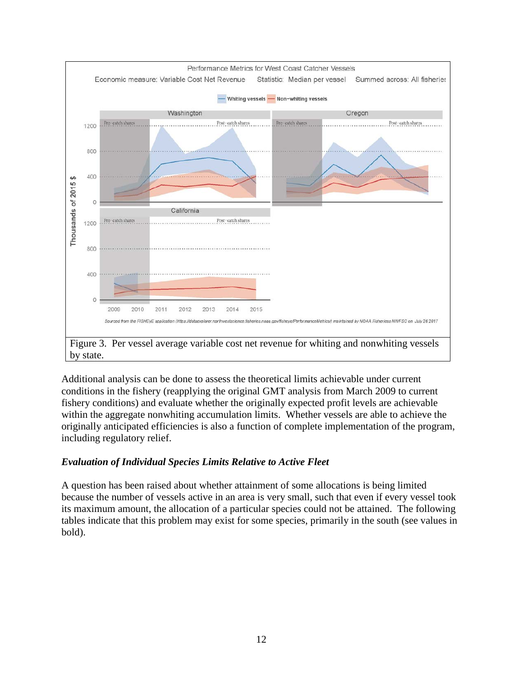

Additional analysis can be done to assess the theoretical limits achievable under current conditions in the fishery (reapplying the original GMT analysis from March 2009 to current fishery conditions) and evaluate whether the originally expected profit levels are achievable within the aggregate nonwhiting accumulation limits. Whether vessels are able to achieve the originally anticipated efficiencies is also a function of complete implementation of the program, including regulatory relief.

# *Evaluation of Individual Species Limits Relative to Active Fleet*

A question has been raised about whether attainment of some allocations is being limited because the number of vessels active in an area is very small, such that even if every vessel took its maximum amount, the allocation of a particular species could not be attained. The following tables indicate that this problem may exist for some species, primarily in the south (see values in bold).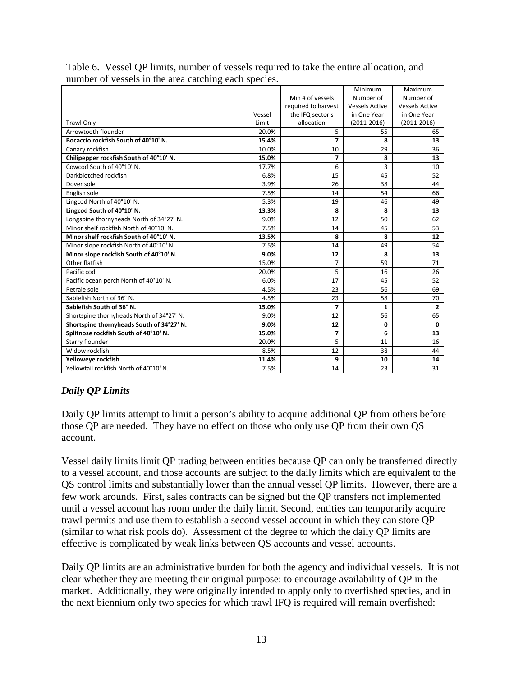|                                           |        |                         | Minimum               | Maximum               |
|-------------------------------------------|--------|-------------------------|-----------------------|-----------------------|
|                                           |        | Min # of vessels        | Number of             | Number of             |
|                                           |        | required to harvest     | <b>Vessels Active</b> | <b>Vessels Active</b> |
|                                           | Vessel | the IFQ sector's        | in One Year           | in One Year           |
| <b>Trawl Only</b>                         | Limit  | allocation              | $(2011 - 2016)$       | $(2011 - 2016)$       |
| Arrowtooth flounder                       | 20.0%  | 5                       | 55                    | 65                    |
| Bocaccio rockfish South of 40°10' N.      | 15.4%  | $\overline{7}$          | 8                     | 13                    |
| Canary rockfish                           | 10.0%  | 10                      | 29                    | 36                    |
| Chilipepper rockfish South of 40°10' N.   | 15.0%  | $\overline{7}$          | 8                     | 13                    |
| Cowcod South of 40°10' N.                 | 17.7%  | 6                       | 3                     | 10                    |
| Darkblotched rockfish                     | 6.8%   | 15                      | 45                    | 52                    |
| Dover sole                                | 3.9%   | 26                      | 38                    | 44                    |
| English sole                              | 7.5%   | 14                      | 54                    | 66                    |
| Lingcod North of 40°10' N.                | 5.3%   | 19                      | 46                    | 49                    |
| Lingcod South of 40°10' N.                | 13.3%  | 8                       | 8                     | 13                    |
| Longspine thornyheads North of 34°27' N.  | 9.0%   | 12                      | 50                    | 62                    |
| Minor shelf rockfish North of 40°10' N.   | 7.5%   | 14                      | 45                    | 53                    |
| Minor shelf rockfish South of 40°10' N.   | 13.5%  | 8                       | 8                     | 12                    |
| Minor slope rockfish North of 40°10' N.   | 7.5%   | 14                      | 49                    | 54                    |
| Minor slope rockfish South of 40°10' N.   | 9.0%   | 12                      | 8                     | 13                    |
| Other flatfish                            | 15.0%  | $\overline{7}$          | 59                    | 71                    |
| Pacific cod                               | 20.0%  | 5                       | 16                    | 26                    |
| Pacific ocean perch North of 40°10' N.    | 6.0%   | 17                      | 45                    | 52                    |
| Petrale sole                              | 4.5%   | 23                      | 56                    | 69                    |
| Sablefish North of 36° N.                 | 4.5%   | 23                      | 58                    | 70                    |
| Sablefish South of 36° N.                 | 15.0%  | $\overline{7}$          | $\mathbf{1}$          | $\overline{2}$        |
| Shortspine thornyheads North of 34°27' N. | 9.0%   | 12                      | 56                    | 65                    |
| Shortspine thornyheads South of 34°27' N. | 9.0%   | 12                      | $\mathbf 0$           | $\mathbf 0$           |
| Splitnose rockfish South of 40°10' N.     | 15.0%  | $\overline{\mathbf{z}}$ | 6                     | 13                    |
| Starry flounder                           | 20.0%  | 5                       | 11                    | 16                    |
| Widow rockfish                            | 8.5%   | 12                      | 38                    | 44                    |
| Yelloweye rockfish                        | 11.4%  | 9                       | 10                    | 14                    |
| Yellowtail rockfish North of 40°10' N.    | 7.5%   | 14                      | 23                    | 31                    |

Table 6. Vessel QP limits, number of vessels required to take the entire allocation, and number of vessels in the area catching each species.

# *Daily QP Limits*

Daily QP limits attempt to limit a person's ability to acquire additional QP from others before those QP are needed. They have no effect on those who only use QP from their own QS account.

Vessel daily limits limit QP trading between entities because QP can only be transferred directly to a vessel account, and those accounts are subject to the daily limits which are equivalent to the QS control limits and substantially lower than the annual vessel QP limits. However, there are a few work arounds. First, sales contracts can be signed but the QP transfers not implemented until a vessel account has room under the daily limit. Second, entities can temporarily acquire trawl permits and use them to establish a second vessel account in which they can store QP (similar to what risk pools do). Assessment of the degree to which the daily QP limits are effective is complicated by weak links between QS accounts and vessel accounts.

Daily QP limits are an administrative burden for both the agency and individual vessels. It is not clear whether they are meeting their original purpose: to encourage availability of QP in the market. Additionally, they were originally intended to apply only to overfished species, and in the next biennium only two species for which trawl IFQ is required will remain overfished: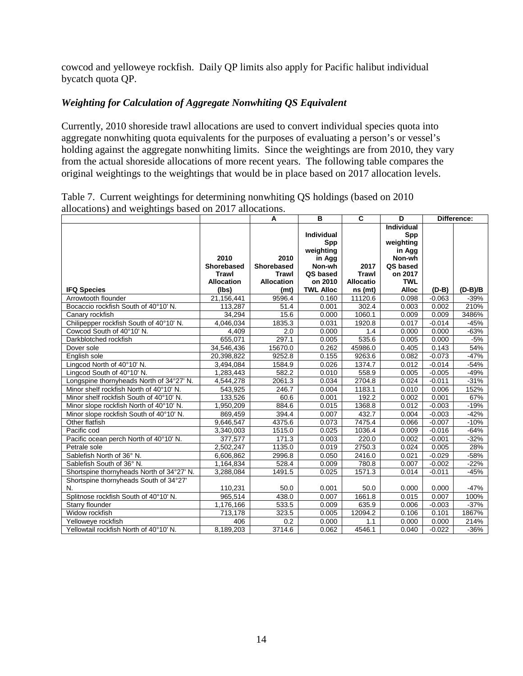cowcod and yelloweye rockfish. Daily QP limits also apply for Pacific halibut individual bycatch quota QP.

## *Weighting for Calculation of Aggregate Nonwhiting QS Equivalent*

Currently, 2010 shoreside trawl allocations are used to convert individual species quota into aggregate nonwhiting quota equivalents for the purposes of evaluating a person's or vessel's holding against the aggregate nonwhiting limits. Since the weightings are from 2010, they vary from the actual shoreside allocations of more recent years. The following table compares the original weightings to the weightings that would be in place based on 2017 allocation levels.

|                                           |                                                         | A                                                              | B                                                                                | $\overline{\mathbf{c}}$                  | $\overline{D}$                                                                          |          | Difference: |
|-------------------------------------------|---------------------------------------------------------|----------------------------------------------------------------|----------------------------------------------------------------------------------|------------------------------------------|-----------------------------------------------------------------------------------------|----------|-------------|
|                                           | 2010<br><b>Shorebased</b><br>Trawl<br><b>Allocation</b> | 2010<br><b>Shorebased</b><br><b>Trawl</b><br><b>Allocation</b> | <b>Individual</b><br>Spp<br>weighting<br>in Agg<br>Non-wh<br>QS based<br>on 2010 | 2017<br><b>Trawl</b><br><b>Allocatio</b> | Individual<br>Spp<br>weighting<br>in Agg<br>Non-wh<br>QS based<br>on 2017<br><b>TWL</b> |          |             |
| <b>IFQ Species</b>                        | (lbs)                                                   | (mt)                                                           | <b>TWL Alloc</b>                                                                 | ns (mt)                                  | <b>Alloc</b>                                                                            | $(D-B)$  | $(D-B)/B$   |
| Arrowtooth flounder                       | 21,156,441                                              | 9596.4                                                         | 0.160                                                                            | 11120.6                                  | 0.098                                                                                   | $-0.063$ | $-39%$      |
| Bocaccio rockfish South of 40°10' N.      | 113,287                                                 | 51.4                                                           | 0.001                                                                            | 302.4                                    | 0.003                                                                                   | 0.002    | 210%        |
| Canary rockfish                           | 34,294                                                  | 15.6                                                           | 0.000                                                                            | 1060.1                                   | 0.009                                                                                   | 0.009    | 3486%       |
| Chilipepper rockfish South of 40°10' N.   | 4,046,034                                               | 1835.3                                                         | 0.031                                                                            | 1920.8                                   | 0.017                                                                                   | $-0.014$ | $-45%$      |
| Cowcod South of 40°10' N.                 | 4,409                                                   | 2.0                                                            | 0.000                                                                            | 1.4                                      | 0.000                                                                                   | 0.000    | $-63%$      |
| Darkblotched rockfish                     | 655,071                                                 | 297.1                                                          | 0.005                                                                            | 535.6                                    | 0.005                                                                                   | 0.000    | $-5%$       |
| Dover sole                                | 34,546,436                                              | 15670.0                                                        | 0.262                                                                            | 45986.0                                  | 0.405                                                                                   | 0.143    | 54%         |
| English sole                              | 20,398,822                                              | 9252.8                                                         | 0.155                                                                            | 9263.6                                   | 0.082                                                                                   | $-0.073$ | $-47%$      |
| Lingcod North of 40°10' N.                | 3,494,084                                               | 1584.9                                                         | 0.026                                                                            | 1374.7                                   | 0.012                                                                                   | $-0.014$ | $-54%$      |
| Lingcod South of 40°10' N.                | 1,283,443                                               | 582.2                                                          | 0.010                                                                            | 558.9                                    | 0.005                                                                                   | $-0.005$ | -49%        |
| Longspine thornyheads North of 34°27' N.  | 4,544,278                                               | 2061.3                                                         | 0.034                                                                            | 2704.8                                   | 0.024                                                                                   | $-0.011$ | $-31%$      |
| Minor shelf rockfish North of 40°10' N.   | 543,925                                                 | 246.7                                                          | 0.004                                                                            | 1183.1                                   | 0.010                                                                                   | 0.006    | 152%        |
| Minor shelf rockfish South of 40°10' N.   | 133,526                                                 | 60.6                                                           | 0.001                                                                            | 192.2                                    | 0.002                                                                                   | 0.001    | 67%         |
| Minor slope rockfish North of 40°10' N.   | 1,950,209                                               | 884.6                                                          | 0.015                                                                            | 1368.8                                   | 0.012                                                                                   | $-0.003$ | $-19%$      |
| Minor slope rockfish South of 40°10' N.   | 869,459                                                 | 394.4                                                          | 0.007                                                                            | 432.7                                    | 0.004                                                                                   | $-0.003$ | $-42%$      |
| Other flatfish                            | 9,646,547                                               | 4375.6                                                         | 0.073                                                                            | 7475.4                                   | 0.066                                                                                   | $-0.007$ | $-10%$      |
| Pacific cod                               | 3,340,003                                               | 1515.0                                                         | 0.025                                                                            | 1036.4                                   | 0.009                                                                                   | $-0.016$ | $-64%$      |
| Pacific ocean perch North of 40°10' N.    | 377,577                                                 | 171.3                                                          | 0.003                                                                            | 220.0                                    | 0.002                                                                                   | $-0.001$ | $-32%$      |
| Petrale sole                              | 2,502,247                                               | 1135.0                                                         | 0.019                                                                            | 2750.3                                   | 0.024                                                                                   | 0.005    | 28%         |
| Sablefish North of 36° N.                 | 6,606,862                                               | 2996.8                                                         | 0.050                                                                            | 2416.0                                   | 0.021                                                                                   | $-0.029$ | $-58%$      |
| Sablefish South of 36° N.                 | 1,164,834                                               | 528.4                                                          | 0.009                                                                            | 780.8                                    | 0.007                                                                                   | $-0.002$ | $-22%$      |
| Shortspine thornyheads North of 34°27' N. | 3,288,084                                               | 1491.5                                                         | 0.025                                                                            | 1571.3                                   | 0.014                                                                                   | $-0.011$ | $-45%$      |
| Shortspine thornyheads South of 34°27'    |                                                         |                                                                |                                                                                  |                                          |                                                                                         |          |             |
| N.                                        | 110,231                                                 | 50.0                                                           | 0.001                                                                            | 50.0                                     | 0.000                                                                                   | 0.000    | $-47%$      |
| Splitnose rockfish South of 40°10' N.     | 965,514                                                 | 438.0                                                          | 0.007                                                                            | 1661.8                                   | 0.015                                                                                   | 0.007    | 100%        |
| Starry flounder                           | 1,176,166                                               | 533.5                                                          | 0.009                                                                            | 635.9                                    | 0.006                                                                                   | $-0.003$ | $-37%$      |
| Widow rockfish                            | 713,178                                                 | 323.5                                                          | 0.005                                                                            | 12094.2                                  | 0.106                                                                                   | 0.101    | 1867%       |
| Yelloweye rockfish                        | 406                                                     | 0.2                                                            | 0.000                                                                            | 1.1                                      | 0.000                                                                                   | 0.000    | 214%        |
| Yellowtail rockfish North of 40°10' N.    | 8,189,203                                               | 3714.6                                                         | 0.062                                                                            | 4546.1                                   | 0.040                                                                                   | $-0.022$ | $-36%$      |

Table 7. Current weightings for determining nonwhiting QS holdings (based on 2010 allocations) and weightings based on 2017 allocations.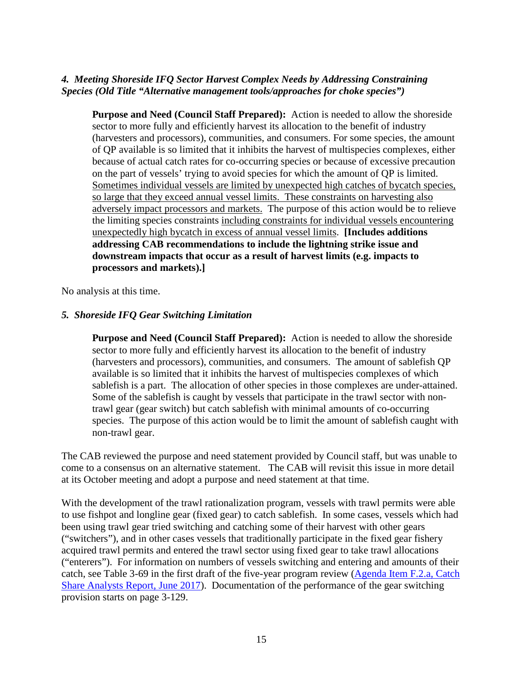## <span id="page-14-0"></span>*4. Meeting Shoreside IFQ Sector Harvest Complex Needs by Addressing Constraining Species (Old Title "Alternative management tools/approaches for choke species")*

**Purpose and Need (Council Staff Prepared):** Action is needed to allow the shoreside sector to more fully and efficiently harvest its allocation to the benefit of industry (harvesters and processors), communities, and consumers. For some species, the amount of QP available is so limited that it inhibits the harvest of multispecies complexes, either because of actual catch rates for co-occurring species or because of excessive precaution on the part of vessels' trying to avoid species for which the amount of QP is limited. Sometimes individual vessels are limited by unexpected high catches of bycatch species, so large that they exceed annual vessel limits. These constraints on harvesting also adversely impact processors and markets. The purpose of this action would be to relieve the limiting species constraints including constraints for individual vessels encountering unexpectedly high bycatch in excess of annual vessel limits. **[Includes additions addressing CAB recommendations to include the lightning strike issue and downstream impacts that occur as a result of harvest limits (e.g. impacts to processors and markets).]**

No analysis at this time.

# <span id="page-14-1"></span>*5. Shoreside IFQ Gear Switching Limitation*

**Purpose and Need (Council Staff Prepared):** Action is needed to allow the shoreside sector to more fully and efficiently harvest its allocation to the benefit of industry (harvesters and processors), communities, and consumers. The amount of sablefish QP available is so limited that it inhibits the harvest of multispecies complexes of which sablefish is a part. The allocation of other species in those complexes are under-attained. Some of the sablefish is caught by vessels that participate in the trawl sector with nontrawl gear (gear switch) but catch sablefish with minimal amounts of co-occurring species. The purpose of this action would be to limit the amount of sablefish caught with non-trawl gear.

The CAB reviewed the purpose and need statement provided by Council staff, but was unable to come to a consensus on an alternative statement. The CAB will revisit this issue in more detail at its October meeting and adopt a purpose and need statement at that time.

With the development of the trawl rationalization program, vessels with trawl permits were able to use fishpot and longline gear (fixed gear) to catch sablefish. In some cases, vessels which had been using trawl gear tried switching and catching some of their harvest with other gears ("switchers"), and in other cases vessels that traditionally participate in the fixed gear fishery acquired trawl permits and entered the trawl sector using fixed gear to take trawl allocations ("enterers"). For information on numbers of vessels switching and entering and amounts of their catch, see Table 3-69 in the first draft of the five-year program review [\(Agenda Item F.2.a, Catch](http://www.pcouncil.org/wp-content/uploads/2017/05/F2a_CatchShareAnalystsReport_FullReport_ElectricOnly_Jun2017BB.pdf)  [Share Analysts Report, June 2017\)](http://www.pcouncil.org/wp-content/uploads/2017/05/F2a_CatchShareAnalystsReport_FullReport_ElectricOnly_Jun2017BB.pdf). Documentation of the performance of the gear switching provision starts on page 3-129.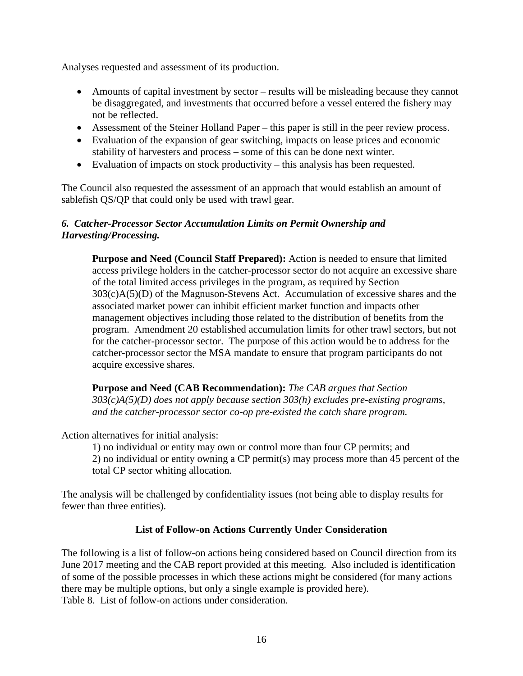Analyses requested and assessment of its production.

- Amounts of capital investment by sector results will be misleading because they cannot be disaggregated, and investments that occurred before a vessel entered the fishery may not be reflected.
- Assessment of the Steiner Holland Paper this paper is still in the peer review process.
- Evaluation of the expansion of gear switching, impacts on lease prices and economic stability of harvesters and process – some of this can be done next winter.
- Evaluation of impacts on stock productivity this analysis has been requested.

The Council also requested the assessment of an approach that would establish an amount of sablefish QS/QP that could only be used with trawl gear.

## <span id="page-15-0"></span>*6. Catcher-Processor Sector Accumulation Limits on Permit Ownership and Harvesting/Processing.*

**Purpose and Need (Council Staff Prepared):** Action is needed to ensure that limited access privilege holders in the catcher-processor sector do not acquire an excessive share of the total limited access privileges in the program, as required by Section 303(c)A(5)(D) of the Magnuson-Stevens Act. Accumulation of excessive shares and the associated market power can inhibit efficient market function and impacts other management objectives including those related to the distribution of benefits from the program. Amendment 20 established accumulation limits for other trawl sectors, but not for the catcher-processor sector. The purpose of this action would be to address for the catcher-processor sector the MSA mandate to ensure that program participants do not acquire excessive shares.

**Purpose and Need (CAB Recommendation):** *The CAB argues that Section 303(c)A(5)(D) does not apply because section 303(h) excludes pre-existing programs, and the catcher-processor sector co-op pre-existed the catch share program.*

Action alternatives for initial analysis:

1) no individual or entity may own or control more than four CP permits; and 2) no individual or entity owning a CP permit(s) may process more than 45 percent of the total CP sector whiting allocation.

The analysis will be challenged by confidentiality issues (not being able to display results for fewer than three entities).

## **List of Follow-on Actions Currently Under Consideration**

<span id="page-15-1"></span>The following is a list of follow-on actions being considered based on Council direction from its June 2017 meeting and the CAB report provided at this meeting. Also included is identification of some of the possible processes in which these actions might be considered (for many actions there may be multiple options, but only a single example is provided here). Table 8. List of follow-on actions under consideration.